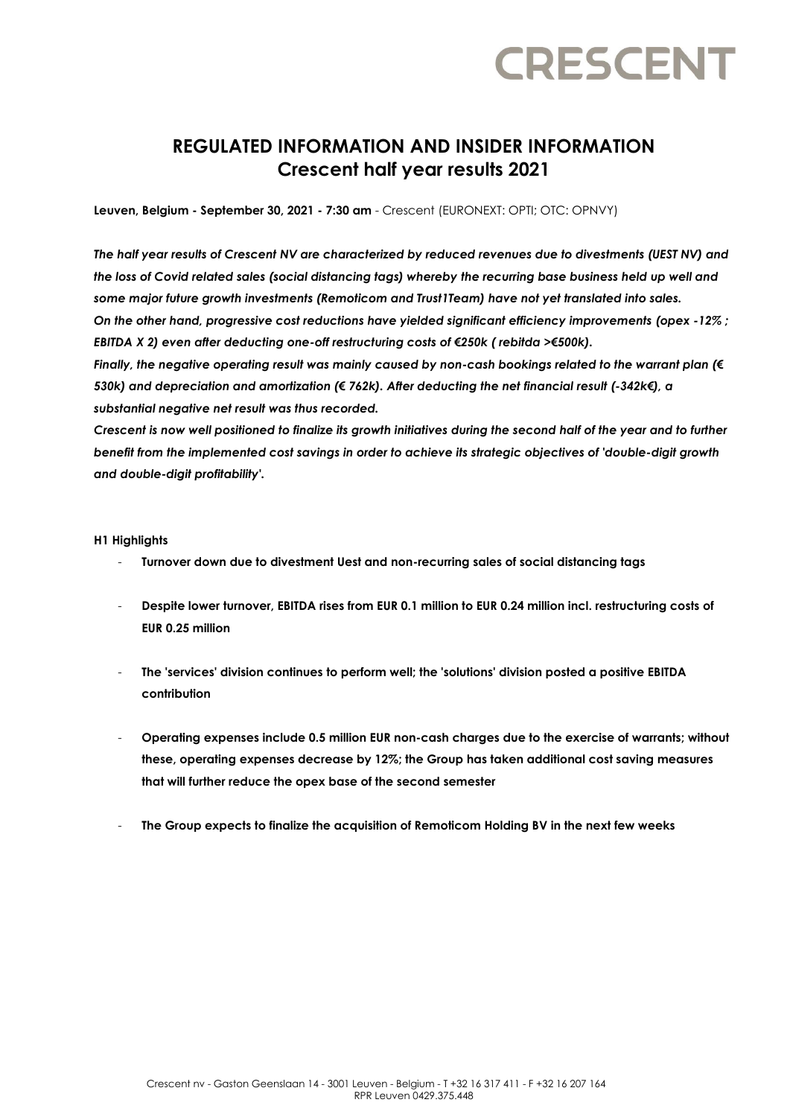# **CRESCENT**

## **REGULATED INFORMATION AND INSIDER INFORMATION Crescent half year results 2021**

**Leuven, Belgium - September 30, 2021 - 7:30 am** - Crescent (EURONEXT: OPTI; OTC: OPNVY)

*The half year results of Crescent NV are characterized by reduced revenues due to divestments (UEST NV) and the loss of Covid related sales (social distancing tags) whereby the recurring base business held up well and some major future growth investments (Remoticom and Trust1Team) have not yet translated into sales. On the other hand, progressive cost reductions have yielded significant efficiency improvements (opex -12% ; EBITDA X 2) even after deducting one-off restructuring costs of €250k ( rebitda >€500k). Finally, the negative operating result was mainly caused by non-cash bookings related to the warrant plan (€ 530k) and depreciation and amortization (€ 762k). After deducting the net financial result (-342k€), a substantial negative net result was thus recorded.* 

*Crescent is now well positioned to finalize its growth initiatives during the second half of the year and to further benefit from the implemented cost savings in order to achieve its strategic objectives of 'double-digit growth and double-digit profitability'.*

#### **H1 Highlights**

- **Turnover down due to divestment Uest and non-recurring sales of social distancing tags**
- **Despite lower turnover, EBITDA rises from EUR 0.1 million to EUR 0.24 million incl. restructuring costs of EUR 0.25 million**
- **The 'services' division continues to perform well; the 'solutions' division posted a positive EBITDA contribution**
- **Operating expenses include 0.5 million EUR non-cash charges due to the exercise of warrants; without these, operating expenses decrease by 12%; the Group has taken additional cost saving measures that will further reduce the opex base of the second semester**
- **The Group expects to finalize the acquisition of Remoticom Holding BV in the next few weeks**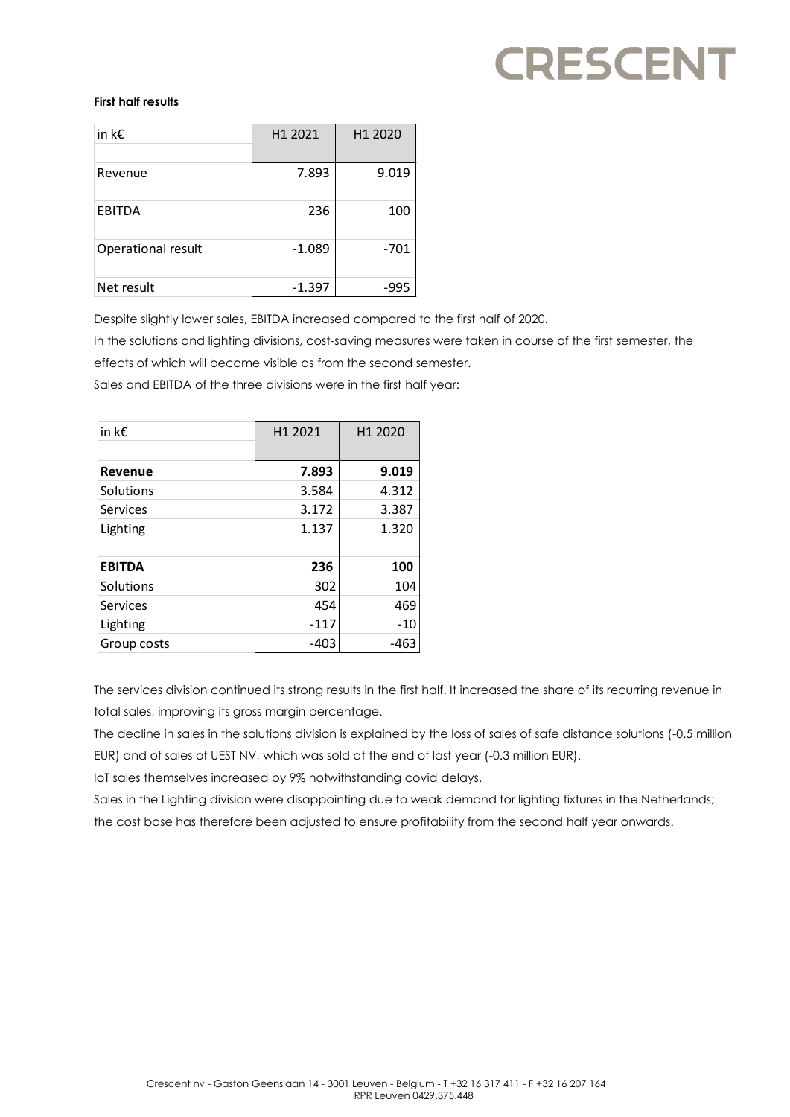# **CRESCENT**

### **First half results**

| in k $\epsilon$    | H <sub>1</sub> 2021 | H <sub>1</sub> 2020 |
|--------------------|---------------------|---------------------|
| Revenue            | 7.893               | 9.019               |
| <b>EBITDA</b>      | 236                 | 100                 |
| Operational result | $-1.089$            | -701                |
| Net result         | $-1.397$            | -995                |

Despite slightly lower sales, EBITDA increased compared to the first half of 2020.

In the solutions and lighting divisions, cost-saving measures were taken in course of the first semester, the

effects of which will become visible as from the second semester.

Sales and EBITDA of the three divisions were in the first half year:

| in k $\epsilon$ | H <sub>1</sub> 2021 | H1 2020 |
|-----------------|---------------------|---------|
|                 |                     |         |
| <b>Revenue</b>  | 7.893               | 9.019   |
| Solutions       | 3.584               | 4.312   |
| Services        | 3.172               | 3.387   |
| Lighting        | 1.137               | 1.320   |
|                 |                     |         |
| <b>EBITDA</b>   | 236                 | 100     |
| Solutions       | 302                 | 104     |
| Services        | 454                 | 469     |
| Lighting        | $-117$              | $-10$   |
| Group costs     | $-403$              | -463    |

The services division continued its strong results in the first half. It increased the share of its recurring revenue in total sales, improving its gross margin percentage.

The decline in sales in the solutions division is explained by the loss of sales of safe distance solutions (-0.5 million EUR) and of sales of UEST NV, which was sold at the end of last year (-0.3 million EUR).

IoT sales themselves increased by 9% notwithstanding covid delays.

Sales in the Lighting division were disappointing due to weak demand for lighting fixtures in the Netherlands; the cost base has therefore been adjusted to ensure profitability from the second half year onwards.